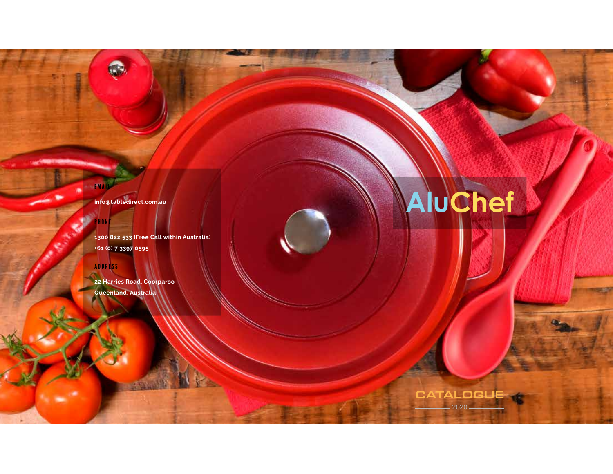**info@tabledirect.com.au**

**1300 822 533 (Free Call within Australia) +61 (0) 7 3397 0595**

#### ADDRESS

EMAIL

PHONE

**22 Harries Road, Coorparoo Queenland, Australia**

# **AluChef**

**CATALOGUE** 

2020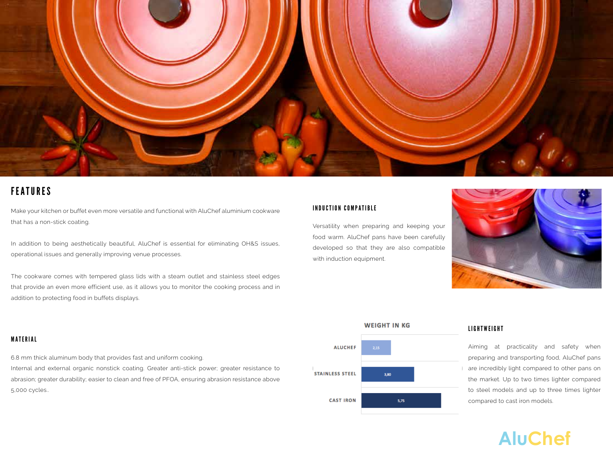

### FEATURES

Make your kitchen or buffet even more versatile and functional with AluChef aluminium cookware that has a non-stick coating.

In addition to being aesthetically beautiful, AluChef is essential for eliminating OH&S issues, operational issues and generally improving venue processes.

The cookware comes with tempered glass lids with a steam outlet and stainless steel edges that provide an even more efficient use, as it allows you to monitor the cooking process and in addition to protecting food in buffets displays.

#### INDUCTION COMPATIBLE

Versatility when preparing and keeping your food warm. AluChef pans have been carefully developed so that they are also compatible with induction equipment.





#### LIGHTWEIGHT

Aiming at practicality and safety when preparing and transporting food, AluChef pans are incredibly light compared to other pans on the market. Up to two times lighter compared to steel models and up to three times lighter compared to cast iron models.

## **AluChef**

#### MATERIAL

6.8 mm thick aluminum body that provides fast and uniform cooking. Internal and external organic nonstick coating. Greater anti-stick power; greater resistance to abrasion; greater durability; easier to clean and free of PFOA, ensuring abrasion resistance above 5,000 cycles..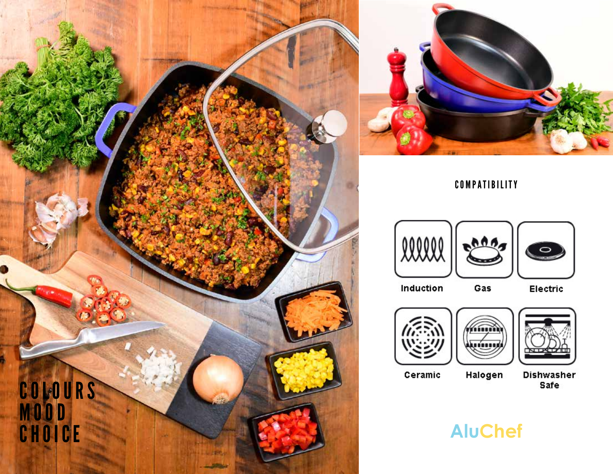



COMPATIBILITY





 $0000$ 

Gas

Electric



Ceramic





Dishwasher Safe

**AluChef**